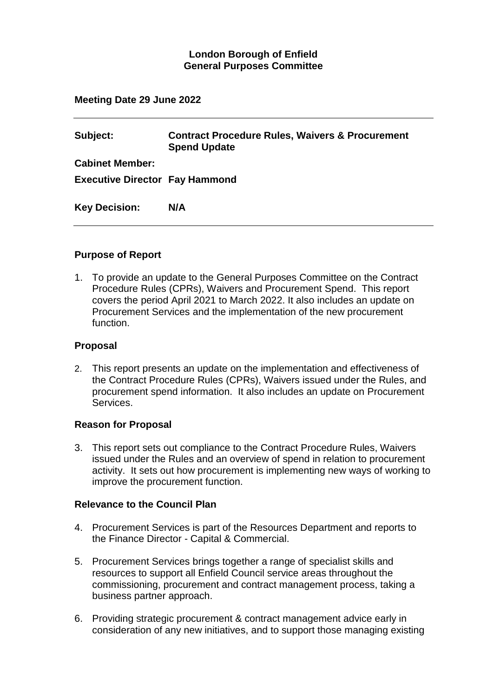## **London Borough of Enfield General Purposes Committee**

#### **Meeting Date 29 June 2022**

| Subject:                              | <b>Contract Procedure Rules, Waivers &amp; Procurement</b><br><b>Spend Update</b> |
|---------------------------------------|-----------------------------------------------------------------------------------|
| <b>Cabinet Member:</b>                |                                                                                   |
| <b>Executive Director Fay Hammond</b> |                                                                                   |
| <b>Key Decision:</b>                  | N/A                                                                               |

#### **Purpose of Report**

1. To provide an update to the General Purposes Committee on the Contract Procedure Rules (CPRs), Waivers and Procurement Spend. This report covers the period April 2021 to March 2022. It also includes an update on Procurement Services and the implementation of the new procurement function.

#### **Proposal**

2. This report presents an update on the implementation and effectiveness of the Contract Procedure Rules (CPRs), Waivers issued under the Rules, and procurement spend information. It also includes an update on Procurement Services.

#### **Reason for Proposal**

3. This report sets out compliance to the Contract Procedure Rules, Waivers issued under the Rules and an overview of spend in relation to procurement activity. It sets out how procurement is implementing new ways of working to improve the procurement function.

#### **Relevance to the Council Plan**

- 4. Procurement Services is part of the Resources Department and reports to the Finance Director - Capital & Commercial.
- 5. Procurement Services brings together a range of specialist skills and resources to support all Enfield Council service areas throughout the commissioning, procurement and contract management process, taking a business partner approach.
- 6. Providing strategic procurement & contract management advice early in consideration of any new initiatives, and to support those managing existing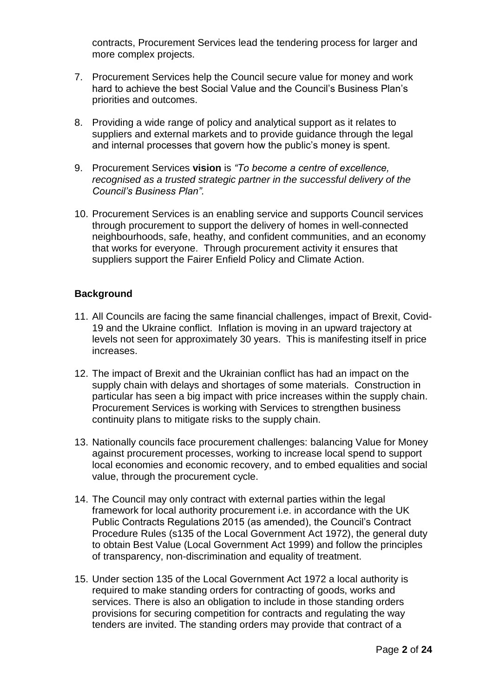contracts, Procurement Services lead the tendering process for larger and more complex projects.

- 7. Procurement Services help the Council secure value for money and work hard to achieve the best Social Value and the Council's Business Plan's priorities and outcomes.
- 8. Providing a wide range of policy and analytical support as it relates to suppliers and external markets and to provide guidance through the legal and internal processes that govern how the public's money is spent.
- 9. Procurement Services **vision** is *"To become a centre of excellence, recognised as a trusted strategic partner in the successful delivery of the Council's Business Plan".*
- 10. Procurement Services is an enabling service and supports Council services through procurement to support the delivery of homes in well-connected neighbourhoods, safe, heathy, and confident communities, and an economy that works for everyone. Through procurement activity it ensures that suppliers support the Fairer Enfield Policy and Climate Action.

### **Background**

- 11. All Councils are facing the same financial challenges, impact of Brexit, Covid-19 and the Ukraine conflict. Inflation is moving in an upward trajectory at levels not seen for approximately 30 years. This is manifesting itself in price increases.
- 12. The impact of Brexit and the Ukrainian conflict has had an impact on the supply chain with delays and shortages of some materials. Construction in particular has seen a big impact with price increases within the supply chain. Procurement Services is working with Services to strengthen business continuity plans to mitigate risks to the supply chain.
- 13. Nationally councils face procurement challenges: balancing Value for Money against procurement processes, working to increase local spend to support local economies and economic recovery, and to embed equalities and social value, through the procurement cycle.
- 14. The Council may only contract with external parties within the legal framework for local authority procurement i.e. in accordance with the UK Public Contracts Regulations 2015 (as amended), the Council's Contract Procedure Rules (s135 of the Local Government Act 1972), the general duty to obtain Best Value (Local Government Act 1999) and follow the principles of transparency, non-discrimination and equality of treatment.
- 15. Under section 135 of the Local Government Act 1972 a local authority is required to make standing orders for contracting of goods, works and services. There is also an obligation to include in those standing orders provisions for securing competition for contracts and regulating the way tenders are invited. The standing orders may provide that contract of a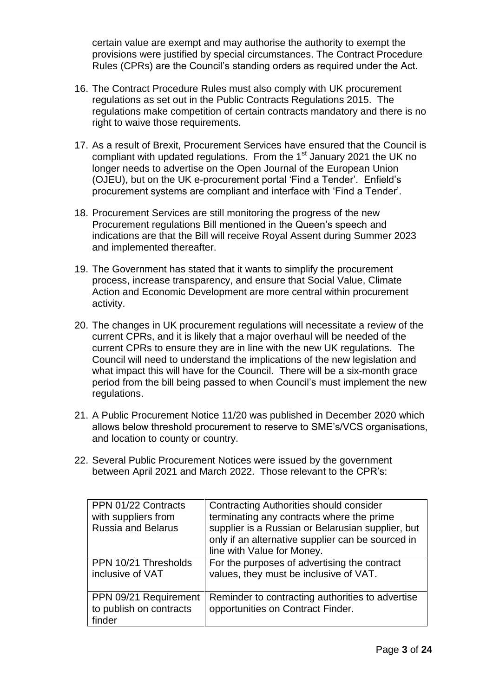certain value are exempt and may authorise the authority to exempt the provisions were justified by special circumstances. The Contract Procedure Rules (CPRs) are the Council's standing orders as required under the Act.

- 16. The Contract Procedure Rules must also comply with UK procurement regulations as set out in the Public Contracts Regulations 2015. The regulations make competition of certain contracts mandatory and there is no right to waive those requirements.
- 17. As a result of Brexit, Procurement Services have ensured that the Council is compliant with updated regulations. From the 1<sup>st</sup> January 2021 the UK no longer needs to advertise on the Open Journal of the European Union (OJEU), but on the UK e-procurement portal 'Find a Tender'. Enfield's procurement systems are compliant and interface with 'Find a Tender'.
- 18. Procurement Services are still monitoring the progress of the new Procurement regulations Bill mentioned in the Queen's speech and indications are that the Bill will receive Royal Assent during Summer 2023 and implemented thereafter.
- 19. The Government has stated that it wants to simplify the procurement process, increase transparency, and ensure that Social Value, Climate Action and Economic Development are more central within procurement activity.
- 20. The changes in UK procurement regulations will necessitate a review of the current CPRs, and it is likely that a major overhaul will be needed of the current CPRs to ensure they are in line with the new UK regulations. The Council will need to understand the implications of the new legislation and what impact this will have for the Council. There will be a six-month grace period from the bill being passed to when Council's must implement the new regulations.
- 21. A Public Procurement Notice 11/20 was published in December 2020 which allows below threshold procurement to reserve to SME's/VCS organisations, and location to county or country.
- 22. Several Public Procurement Notices were issued by the government between April 2021 and March 2022. Those relevant to the CPR's:

| PPN 01/22 Contracts<br>with suppliers from<br><b>Russia and Belarus</b> | <b>Contracting Authorities should consider</b><br>terminating any contracts where the prime<br>supplier is a Russian or Belarusian supplier, but<br>only if an alternative supplier can be sourced in<br>line with Value for Money. |
|-------------------------------------------------------------------------|-------------------------------------------------------------------------------------------------------------------------------------------------------------------------------------------------------------------------------------|
| PPN 10/21 Thresholds<br>inclusive of VAT                                | For the purposes of advertising the contract<br>values, they must be inclusive of VAT.                                                                                                                                              |
| PPN 09/21 Requirement<br>to publish on contracts<br>finder              | Reminder to contracting authorities to advertise<br>opportunities on Contract Finder.                                                                                                                                               |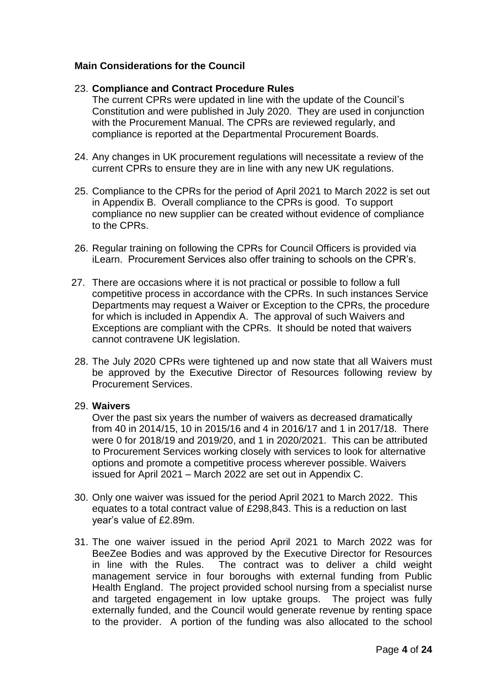### **Main Considerations for the Council**

#### 23. **Compliance and Contract Procedure Rules**

The current CPRs were updated in line with the update of the Council's Constitution and were published in July 2020. They are used in conjunction with the Procurement Manual. The CPRs are reviewed regularly, and compliance is reported at the Departmental Procurement Boards.

- 24. Any changes in UK procurement regulations will necessitate a review of the current CPRs to ensure they are in line with any new UK regulations.
- 25. Compliance to the CPRs for the period of April 2021 to March 2022 is set out in Appendix B. Overall compliance to the CPRs is good. To support compliance no new supplier can be created without evidence of compliance to the CPRs.
- 26. Regular training on following the CPRs for Council Officers is provided via iLearn. Procurement Services also offer training to schools on the CPR's.
- 27. There are occasions where it is not practical or possible to follow a full competitive process in accordance with the CPRs. In such instances Service Departments may request a Waiver or Exception to the CPRs, the procedure for which is included in Appendix A. The approval of such Waivers and Exceptions are compliant with the CPRs. It should be noted that waivers cannot contravene UK legislation.
- 28. The July 2020 CPRs were tightened up and now state that all Waivers must be approved by the Executive Director of Resources following review by Procurement Services.

#### 29. **Waivers**

Over the past six years the number of waivers as decreased dramatically from 40 in 2014/15, 10 in 2015/16 and 4 in 2016/17 and 1 in 2017/18. There were 0 for 2018/19 and 2019/20, and 1 in 2020/2021. This can be attributed to Procurement Services working closely with services to look for alternative options and promote a competitive process wherever possible. Waivers issued for April 2021 – March 2022 are set out in Appendix C.

- 30. Only one waiver was issued for the period April 2021 to March 2022. This equates to a total contract value of £298,843. This is a reduction on last year's value of £2.89m.
- 31. The one waiver issued in the period April 2021 to March 2022 was for BeeZee Bodies and was approved by the Executive Director for Resources in line with the Rules. The contract was to deliver a child weight management service in four boroughs with external funding from Public Health England. The project provided school nursing from a specialist nurse and targeted engagement in low uptake groups. The project was fully externally funded, and the Council would generate revenue by renting space to the provider. A portion of the funding was also allocated to the school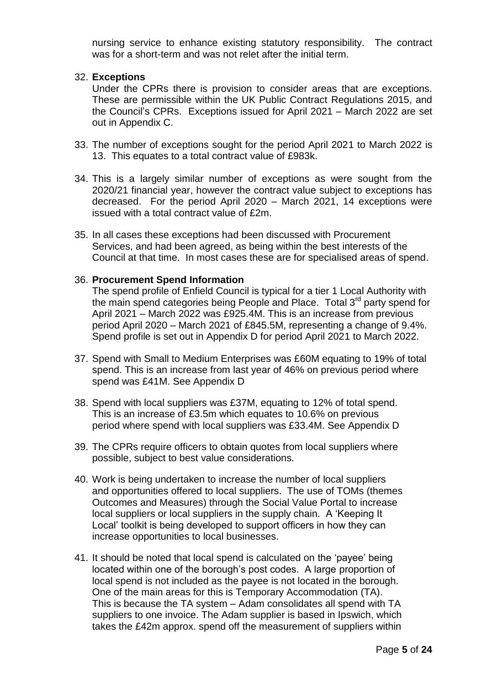nursing service to enhance existing statutory responsibility. The contract was for a short-term and was not relet after the initial term.

#### 32. **Exceptions**

Under the CPRs there is provision to consider areas that are exceptions. These are permissible within the UK Public Contract Regulations 2015, and the Council's CPRs. Exceptions issued for April 2021 – March 2022 are set out in Appendix C.

- 33. The number of exceptions sought for the period April 2021 to March 2022 is 13. This equates to a total contract value of £983k.
- 34. This is a largely similar number of exceptions as were sought from the 2020/21 financial year, however the contract value subject to exceptions has decreased. For the period April 2020 – March 2021, 14 exceptions were issued with a total contract value of £2m.
- 35. In all cases these exceptions had been discussed with Procurement Services, and had been agreed, as being within the best interests of the Council at that time. In most cases these are for specialised areas of spend.

#### 36. **Procurement Spend Information**

The spend profile of Enfield Council is typical for a tier 1 Local Authority with the main spend categories being People and Place. Total 3<sup>rd</sup> party spend for April 2021 – March 2022 was £925.4M. This is an increase from previous period April 2020 – March 2021 of £845.5M, representing a change of 9.4%. Spend profile is set out in Appendix D for period April 2021 to March 2022.

- 37. Spend with Small to Medium Enterprises was £60M equating to 19% of total spend. This is an increase from last year of 46% on previous period where spend was £41M. See Appendix D
- 38. Spend with local suppliers was £37M, equating to 12% of total spend. This is an increase of £3.5m which equates to 10.6% on previous period where spend with local suppliers was £33.4M. See Appendix D
- 39. The CPRs require officers to obtain quotes from local suppliers where possible, subject to best value considerations.
- 40. Work is being undertaken to increase the number of local suppliers and opportunities offered to local suppliers. The use of TOMs (themes Outcomes and Measures) through the Social Value Portal to increase local suppliers or local suppliers in the supply chain. A 'Keeping It Local' toolkit is being developed to support officers in how they can increase opportunities to local businesses.
- 41. It should be noted that local spend is calculated on the 'payee' being located within one of the borough's post codes. A large proportion of local spend is not included as the payee is not located in the borough. One of the main areas for this is Temporary Accommodation (TA). This is because the TA system – Adam consolidates all spend with TA suppliers to one invoice. The Adam supplier is based in Ipswich, which takes the £42m approx. spend off the measurement of suppliers within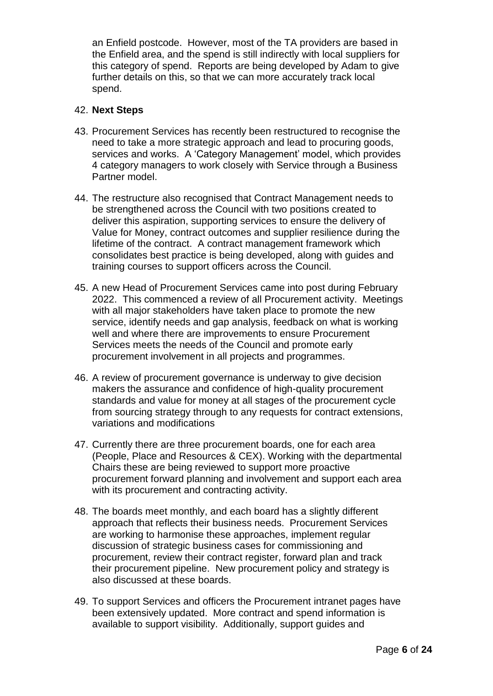an Enfield postcode. However, most of the TA providers are based in the Enfield area, and the spend is still indirectly with local suppliers for this category of spend. Reports are being developed by Adam to give further details on this, so that we can more accurately track local spend.

#### 42. **Next Steps**

- 43. Procurement Services has recently been restructured to recognise the need to take a more strategic approach and lead to procuring goods, services and works. A 'Category Management' model, which provides 4 category managers to work closely with Service through a Business Partner model.
- 44. The restructure also recognised that Contract Management needs to be strengthened across the Council with two positions created to deliver this aspiration, supporting services to ensure the delivery of Value for Money, contract outcomes and supplier resilience during the lifetime of the contract. A contract management framework which consolidates best practice is being developed, along with guides and training courses to support officers across the Council.
- 45. A new Head of Procurement Services came into post during February 2022. This commenced a review of all Procurement activity. Meetings with all major stakeholders have taken place to promote the new service, identify needs and gap analysis, feedback on what is working well and where there are improvements to ensure Procurement Services meets the needs of the Council and promote early procurement involvement in all projects and programmes.
- 46. A review of procurement governance is underway to give decision makers the assurance and confidence of high-quality procurement standards and value for money at all stages of the procurement cycle from sourcing strategy through to any requests for contract extensions, variations and modifications
- 47. Currently there are three procurement boards, one for each area (People, Place and Resources & CEX). Working with the departmental Chairs these are being reviewed to support more proactive procurement forward planning and involvement and support each area with its procurement and contracting activity.
- 48. The boards meet monthly, and each board has a slightly different approach that reflects their business needs. Procurement Services are working to harmonise these approaches, implement regular discussion of strategic business cases for commissioning and procurement, review their contract register, forward plan and track their procurement pipeline. New procurement policy and strategy is also discussed at these boards.
- 49. To support Services and officers the Procurement intranet pages have been extensively updated. More contract and spend information is available to support visibility. Additionally, support guides and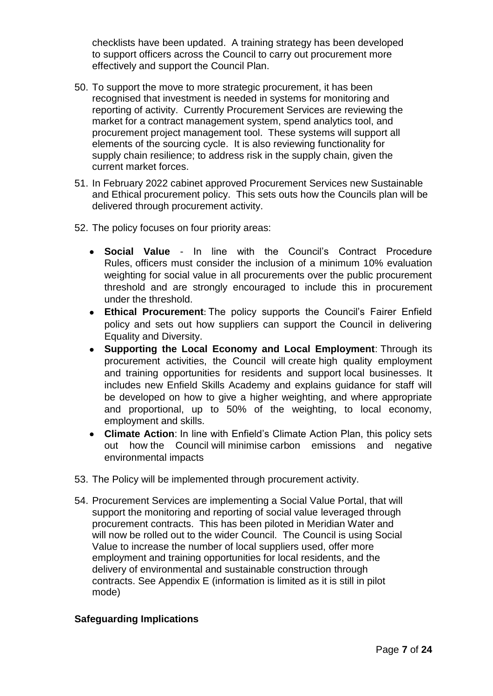checklists have been updated. A training strategy has been developed to support officers across the Council to carry out procurement more effectively and support the Council Plan.

- 50. To support the move to more strategic procurement, it has been recognised that investment is needed in systems for monitoring and reporting of activity. Currently Procurement Services are reviewing the market for a contract management system, spend analytics tool, and procurement project management tool. These systems will support all elements of the sourcing cycle. It is also reviewing functionality for supply chain resilience; to address risk in the supply chain, given the current market forces.
- 51. In February 2022 cabinet approved Procurement Services new Sustainable and Ethical procurement policy. This sets outs how the Councils plan will be delivered through procurement activity.
- 52. The policy focuses on four priority areas:
	- **Social Value** In line with the Council's Contract Procedure Rules, officers must consider the inclusion of a minimum 10% evaluation weighting for social value in all procurements over the public procurement threshold and are strongly encouraged to include this in procurement under the threshold.
	- **Ethical Procurement**: The policy supports the Council's Fairer Enfield policy and sets out how suppliers can support the Council in delivering Equality and Diversity.
	- **Supporting the Local Economy and Local Employment**: Through its procurement activities, the Council will create high quality employment and training opportunities for residents and support local businesses. It includes new Enfield Skills Academy and explains guidance for staff will be developed on how to give a higher weighting, and where appropriate and proportional, up to 50% of the weighting, to local economy, employment and skills.
	- **Climate Action**: In line with Enfield's Climate Action Plan, this policy sets out how the Council will minimise carbon emissions and negative environmental impacts
- 53. The Policy will be implemented through procurement activity.
- 54. Procurement Services are implementing a Social Value Portal, that will support the monitoring and reporting of social value leveraged through procurement contracts. This has been piloted in Meridian Water and will now be rolled out to the wider Council. The Council is using Social Value to increase the number of local suppliers used, offer more employment and training opportunities for local residents, and the delivery of environmental and sustainable construction through contracts. See Appendix E (information is limited as it is still in pilot mode)

### **Safeguarding Implications**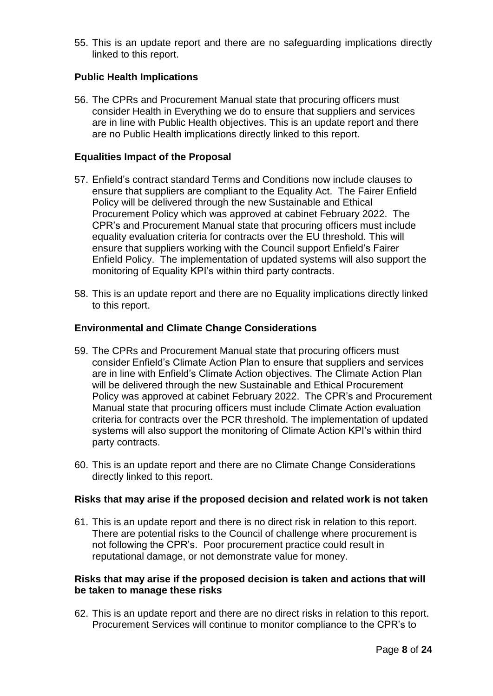55. This is an update report and there are no safeguarding implications directly linked to this report.

## **Public Health Implications**

56. The CPRs and Procurement Manual state that procuring officers must consider Health in Everything we do to ensure that suppliers and services are in line with Public Health objectives. This is an update report and there are no Public Health implications directly linked to this report.

#### **Equalities Impact of the Proposal**

- 57. Enfield's contract standard Terms and Conditions now include clauses to ensure that suppliers are compliant to the Equality Act. The Fairer Enfield Policy will be delivered through the new Sustainable and Ethical Procurement Policy which was approved at cabinet February 2022. The CPR's and Procurement Manual state that procuring officers must include equality evaluation criteria for contracts over the EU threshold. This will ensure that suppliers working with the Council support Enfield's Fairer Enfield Policy. The implementation of updated systems will also support the monitoring of Equality KPI's within third party contracts.
- 58. This is an update report and there are no Equality implications directly linked to this report.

#### **Environmental and Climate Change Considerations**

- 59. The CPRs and Procurement Manual state that procuring officers must consider Enfield's Climate Action Plan to ensure that suppliers and services are in line with Enfield's Climate Action objectives. The Climate Action Plan will be delivered through the new Sustainable and Ethical Procurement Policy was approved at cabinet February 2022. The CPR's and Procurement Manual state that procuring officers must include Climate Action evaluation criteria for contracts over the PCR threshold. The implementation of updated systems will also support the monitoring of Climate Action KPI's within third party contracts.
- 60. This is an update report and there are no Climate Change Considerations directly linked to this report.

#### **Risks that may arise if the proposed decision and related work is not taken**

61. This is an update report and there is no direct risk in relation to this report. There are potential risks to the Council of challenge where procurement is not following the CPR's. Poor procurement practice could result in reputational damage, or not demonstrate value for money.

#### **Risks that may arise if the proposed decision is taken and actions that will be taken to manage these risks**

62. This is an update report and there are no direct risks in relation to this report. Procurement Services will continue to monitor compliance to the CPR's to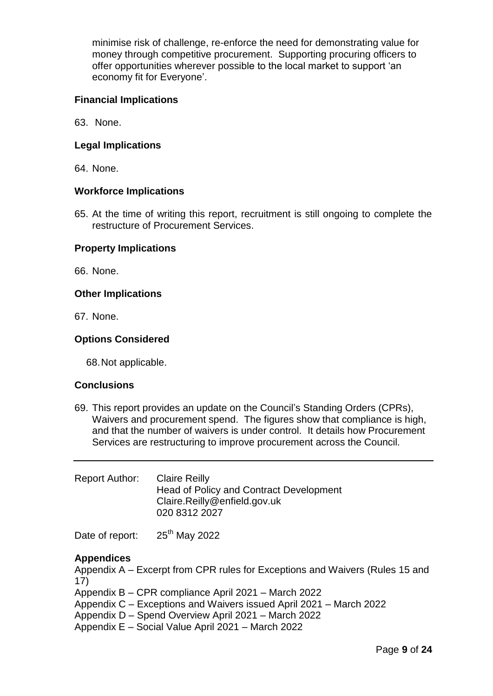minimise risk of challenge, re-enforce the need for demonstrating value for money through competitive procurement. Supporting procuring officers to offer opportunities wherever possible to the local market to support 'an economy fit for Everyone'.

### **Financial Implications**

63. None.

## **Legal Implications**

64. None.

### **Workforce Implications**

65. At the time of writing this report, recruitment is still ongoing to complete the restructure of Procurement Services.

### **Property Implications**

66. None.

### **Other Implications**

67. None.

### **Options Considered**

68.Not applicable.

### **Conclusions**

69. This report provides an update on the Council's Standing Orders (CPRs), Waivers and procurement spend. The figures show that compliance is high, and that the number of waivers is under control. It details how Procurement Services are restructuring to improve procurement across the Council.

| Report Author: | <b>Claire Reilly</b>                           |
|----------------|------------------------------------------------|
|                | <b>Head of Policy and Contract Development</b> |
|                | Claire.Reilly@enfield.gov.uk                   |
|                | 020 8312 2027                                  |
|                |                                                |

Date of report: 25<sup>th</sup> May 2022

### **Appendices**

Appendix A – Excerpt from CPR rules for Exceptions and Waivers (Rules 15 and 17)

Appendix B – CPR compliance April 2021 – March 2022

- Appendix C Exceptions and Waivers issued April 2021 March 2022
- Appendix D Spend Overview April 2021 March 2022
- Appendix E Social Value April 2021 March 2022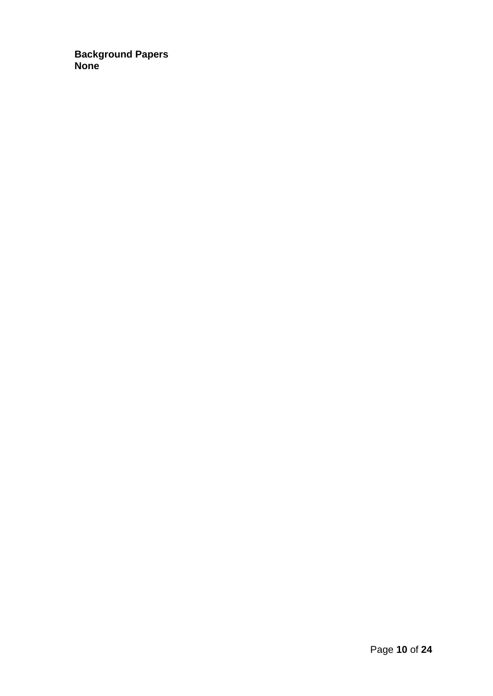**Background Papers None**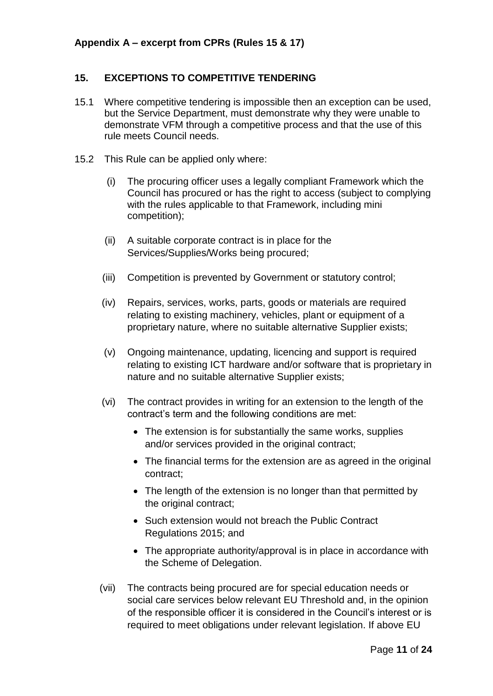## **15. EXCEPTIONS TO COMPETITIVE TENDERING**

- 15.1 Where competitive tendering is impossible then an exception can be used, but the Service Department, must demonstrate why they were unable to demonstrate VFM through a competitive process and that the use of this rule meets Council needs.
- 15.2 This Rule can be applied only where:
	- (i) The procuring officer uses a legally compliant Framework which the Council has procured or has the right to access (subject to complying with the rules applicable to that Framework, including mini competition);
	- (ii) A suitable corporate contract is in place for the Services/Supplies/Works being procured;
	- (iii) Competition is prevented by Government or statutory control;
	- (iv) Repairs, services, works, parts, goods or materials are required relating to existing machinery, vehicles, plant or equipment of a proprietary nature, where no suitable alternative Supplier exists;
	- (v) Ongoing maintenance, updating, licencing and support is required relating to existing ICT hardware and/or software that is proprietary in nature and no suitable alternative Supplier exists;
	- (vi) The contract provides in writing for an extension to the length of the contract's term and the following conditions are met:
		- The extension is for substantially the same works, supplies and/or services provided in the original contract;
		- The financial terms for the extension are as agreed in the original contract;
		- The length of the extension is no longer than that permitted by the original contract;
		- Such extension would not breach the Public Contract Regulations 2015; and
		- The appropriate authority/approval is in place in accordance with the Scheme of Delegation.
	- (vii) The contracts being procured are for special education needs or social care services below relevant EU Threshold and, in the opinion of the responsible officer it is considered in the Council's interest or is required to meet obligations under relevant legislation. If above EU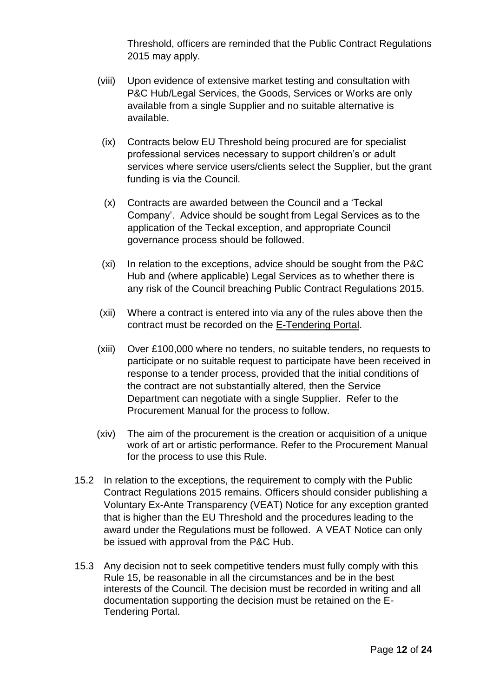Threshold, officers are reminded that the Public Contract Regulations 2015 may apply.

- (viii) Upon evidence of extensive market testing and consultation with P&C Hub/Legal Services, the Goods, Services or Works are only available from a single Supplier and no suitable alternative is available.
- (ix) Contracts below EU Threshold being procured are for specialist professional services necessary to support children's or adult services where service users/clients select the Supplier, but the grant funding is via the Council.
- (x) Contracts are awarded between the Council and a 'Teckal Company'. Advice should be sought from Legal Services as to the application of the Teckal exception, and appropriate Council governance process should be followed.
- (xi) In relation to the exceptions, advice should be sought from the P&C Hub and (where applicable) Legal Services as to whether there is any risk of the Council breaching Public Contract Regulations 2015.
- (xii) Where a contract is entered into via any of the rules above then the contract must be recorded on the E-Tendering Portal.
- (xiii) Over £100,000 where no tenders, no suitable tenders, no requests to participate or no suitable request to participate have been received in response to a tender process, provided that the initial conditions of the contract are not substantially altered, then the Service Department can negotiate with a single Supplier. Refer to the Procurement Manual for the process to follow.
- (xiv) The aim of the procurement is the creation or acquisition of a unique work of art or artistic performance. Refer to the Procurement Manual for the process to use this Rule.
- 15.2 In relation to the exceptions, the requirement to comply with the Public Contract Regulations 2015 remains. Officers should consider publishing a Voluntary Ex-Ante Transparency (VEAT) Notice for any exception granted that is higher than the EU Threshold and the procedures leading to the award under the Regulations must be followed. A VEAT Notice can only be issued with approval from the P&C Hub.
- 15.3 Any decision not to seek competitive tenders must fully comply with this Rule 15, be reasonable in all the circumstances and be in the best interests of the Council. The decision must be recorded in writing and all documentation supporting the decision must be retained on the E-Tendering Portal.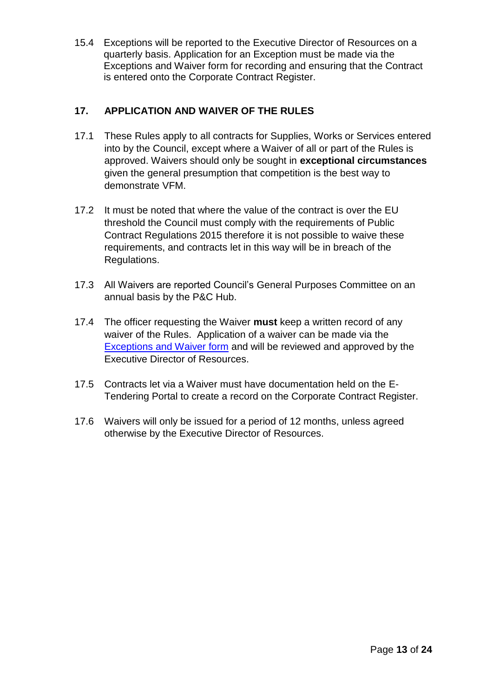15.4 Exceptions will be reported to the Executive Director of Resources on a quarterly basis. Application for an Exception must be made via the Exceptions and Waiver form for recording and ensuring that the Contract is entered onto the Corporate Contract Register.

# **17. APPLICATION AND WAIVER OF THE RULES**

- 17.1 These Rules apply to all contracts for Supplies, Works or Services entered into by the Council, except where a Waiver of all or part of the Rules is approved. Waivers should only be sought in **exceptional circumstances** given the general presumption that competition is the best way to demonstrate VFM.
- 17.2 It must be noted that where the value of the contract is over the EU threshold the Council must comply with the requirements of Public Contract Regulations 2015 therefore it is not possible to waive these requirements, and contracts let in this way will be in breach of the Regulations.
- 17.3 All Waivers are reported Council's General Purposes Committee on an annual basis by the P&C Hub.
- 17.4 The officer requesting the Waiver **must** keep a written record of any waiver of the Rules. Application of a waiver can be made via the [Exceptions and Waiver form](https://enfield365.sharepoint.com/:x:/r/sites/intranetAccountsPayableReceivable/_layouts/15/Doc.aspx?sourcedoc=%7B9009CB4F-4CD5-4CA5-AE37-574060500D3D%7D&file=Supplier_Info_-_Waiver_Exception.xlsm&action=default&mobileredirect=true) and will be reviewed and approved by the Executive Director of Resources.
- 17.5 Contracts let via a Waiver must have documentation held on the E-Tendering Portal to create a record on the Corporate Contract Register.
- 17.6 Waivers will only be issued for a period of 12 months, unless agreed otherwise by the Executive Director of Resources.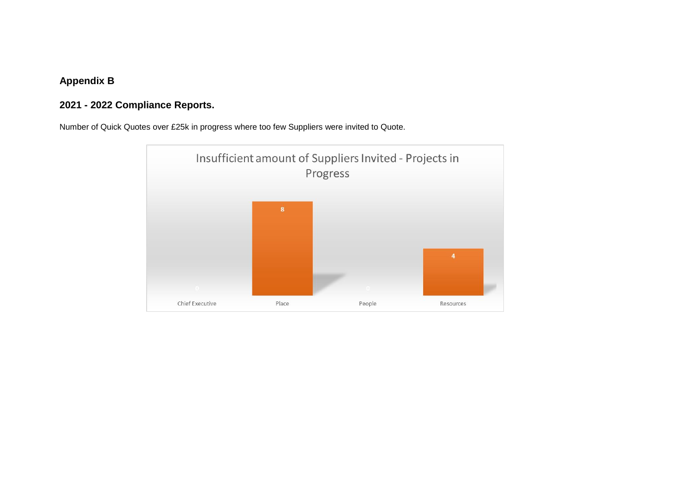# **Appendix B**

# **2021 - 2022 Compliance Reports.**

Number of Quick Quotes over £25k in progress where too few Suppliers were invited to Quote.

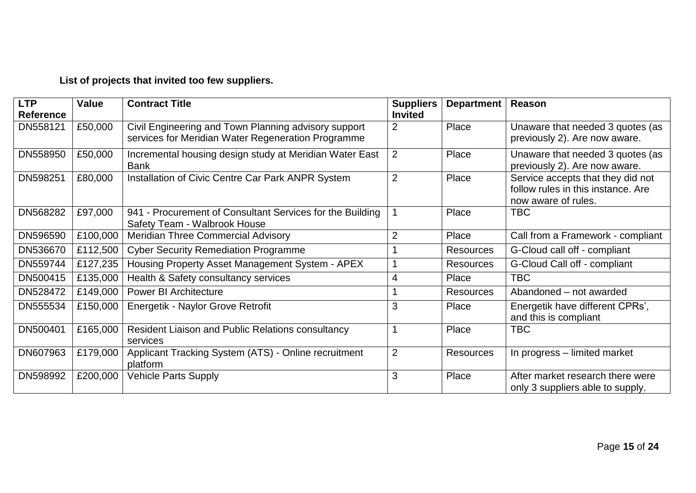# **List of projects that invited too few suppliers.**

| <b>LTP</b>       | <b>Value</b> | <b>Contract Title</b>                                     | <b>Suppliers</b> | Department       | Reason                             |
|------------------|--------------|-----------------------------------------------------------|------------------|------------------|------------------------------------|
| <b>Reference</b> |              |                                                           | <b>Invited</b>   |                  |                                    |
| DN558121         | £50,000      | Civil Engineering and Town Planning advisory support      | 2                | Place            | Unaware that needed 3 quotes (as   |
|                  |              | services for Meridian Water Regeneration Programme        |                  |                  | previously 2). Are now aware.      |
| DN558950         | £50,000      | Incremental housing design study at Meridian Water East   | $\overline{2}$   | Place            | Unaware that needed 3 quotes (as   |
|                  |              | <b>Bank</b>                                               |                  |                  | previously 2). Are now aware.      |
| DN598251         | £80,000      | Installation of Civic Centre Car Park ANPR System         | $\overline{2}$   | Place            | Service accepts that they did not  |
|                  |              |                                                           |                  |                  | follow rules in this instance. Are |
|                  |              |                                                           |                  |                  | now aware of rules.                |
| DN568282         | £97,000      | 941 - Procurement of Consultant Services for the Building |                  | Place            | TBC.                               |
|                  |              | Safety Team - Walbrook House                              |                  |                  |                                    |
| DN596590         | £100,000     | <b>Meridian Three Commercial Advisory</b>                 | $\overline{2}$   | Place            | Call from a Framework - compliant  |
| DN536670         | £112,500     | <b>Cyber Security Remediation Programme</b>               |                  | <b>Resources</b> | G-Cloud call off - compliant       |
| DN559744         | £127,235     | Housing Property Asset Management System - APEX           |                  | <b>Resources</b> | G-Cloud Call off - compliant       |
| DN500415         | £135,000     | Health & Safety consultancy services                      | $\overline{4}$   | Place            | TBC                                |
| DN528472         | £149,000     | <b>Power BI Architecture</b>                              |                  | <b>Resources</b> | Abandoned - not awarded            |
| DN555534         | £150,000     | Energetik - Naylor Grove Retrofit                         | 3                | Place            | Energetik have different CPRs',    |
|                  |              |                                                           |                  |                  | and this is compliant              |
| DN500401         | £165,000     | <b>Resident Liaison and Public Relations consultancy</b>  |                  | Place            | <b>TBC</b>                         |
|                  |              | services                                                  |                  |                  |                                    |
| DN607963         | £179,000     | Applicant Tracking System (ATS) - Online recruitment      | $\overline{2}$   | Resources        | In progress – limited market       |
|                  |              | platform                                                  |                  |                  |                                    |
| DN598992         | £200,000     | <b>Vehicle Parts Supply</b>                               | 3                | Place            | After market research there were   |
|                  |              |                                                           |                  |                  | only 3 suppliers able to supply.   |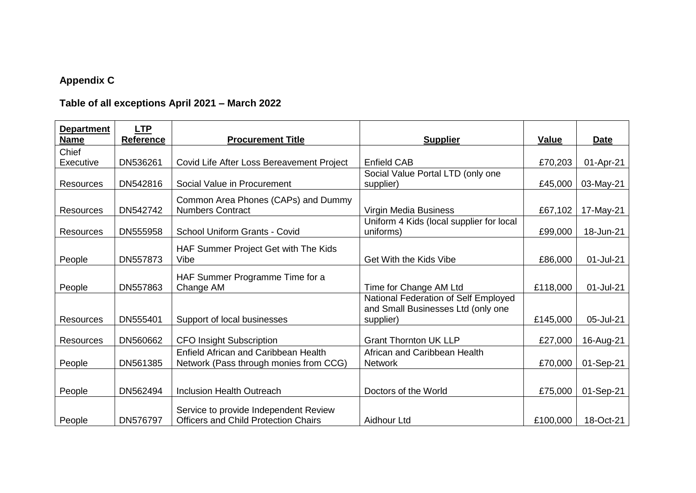# **Appendix C**

# **Table of all exceptions April 2021 – March 2022**

| <b>Department</b><br><b>Name</b> | <b>LTP</b><br><b>Reference</b> | <b>Procurement Title</b>                    | <b>Supplier</b>                          | <b>Value</b> | <b>Date</b> |
|----------------------------------|--------------------------------|---------------------------------------------|------------------------------------------|--------------|-------------|
| Chief                            |                                |                                             |                                          |              |             |
| Executive                        | DN536261                       | Covid Life After Loss Bereavement Project   | <b>Enfield CAB</b>                       | £70,203      | 01-Apr-21   |
|                                  |                                |                                             | Social Value Portal LTD (only one        |              |             |
| <b>Resources</b>                 | DN542816                       | Social Value in Procurement                 | supplier)                                | £45,000      | 03-May-21   |
|                                  |                                |                                             |                                          |              |             |
|                                  |                                | Common Area Phones (CAPs) and Dummy         |                                          |              |             |
| <b>Resources</b>                 | DN542742                       | <b>Numbers Contract</b>                     | Virgin Media Business                    | £67,102      | 17-May-21   |
|                                  |                                |                                             | Uniform 4 Kids (local supplier for local |              |             |
| Resources                        | DN555958                       | School Uniform Grants - Covid               | uniforms)                                | £99,000      | 18-Jun-21   |
|                                  |                                |                                             |                                          |              |             |
|                                  |                                | HAF Summer Project Get with The Kids        |                                          |              |             |
| People                           | DN557873                       | Vibe                                        | Get With the Kids Vibe                   | £86,000      | 01-Jul-21   |
|                                  |                                | HAF Summer Programme Time for a             |                                          |              |             |
| People                           | DN557863                       | Change AM                                   | Time for Change AM Ltd                   | £118,000     | 01-Jul-21   |
|                                  |                                |                                             | National Federation of Self Employed     |              |             |
|                                  |                                |                                             | and Small Businesses Ltd (only one       |              |             |
| <b>Resources</b>                 | DN555401                       | Support of local businesses                 | supplier)                                | £145,000     | 05-Jul-21   |
|                                  |                                |                                             |                                          |              |             |
| <b>Resources</b>                 | DN560662                       | <b>CFO Insight Subscription</b>             | <b>Grant Thornton UK LLP</b>             | £27,000      | 16-Aug-21   |
|                                  |                                | <b>Enfield African and Caribbean Health</b> | African and Caribbean Health             |              |             |
| People                           | DN561385                       | Network (Pass through monies from CCG)      | <b>Network</b>                           | £70,000      | 01-Sep-21   |
|                                  |                                |                                             |                                          |              |             |
|                                  |                                |                                             |                                          |              |             |
| People                           | DN562494                       | <b>Inclusion Health Outreach</b>            | Doctors of the World                     | £75,000      | 01-Sep-21   |
|                                  |                                |                                             |                                          |              |             |
|                                  |                                | Service to provide Independent Review       |                                          |              |             |
| People                           | DN576797                       | <b>Officers and Child Protection Chairs</b> | Aidhour Ltd                              | £100,000     | 18-Oct-21   |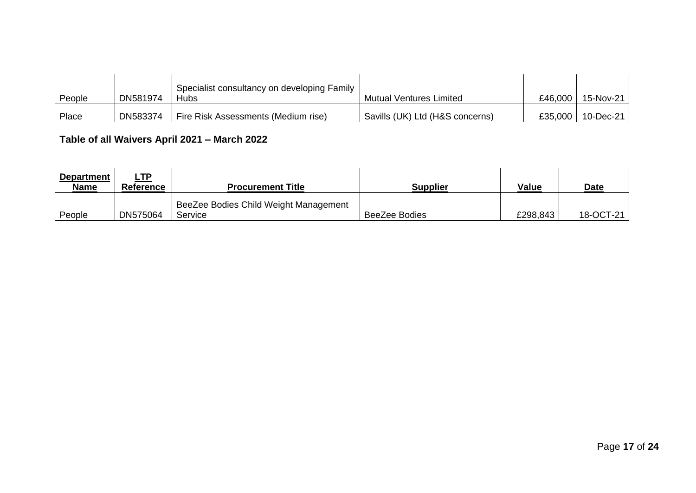| People | DN581974 | Specialist consultancy on developing Family<br>Hubs | <b>Mutual Ventures Limited</b>  | £46,000 | 15-Nov-21    |
|--------|----------|-----------------------------------------------------|---------------------------------|---------|--------------|
| Place  | DN583374 | Fire Risk Assessments (Medium rise)                 | Savills (UK) Ltd (H&S concerns) | £35,000 | $10$ -Dec-21 |

# **Table of all Waivers April 2021 – March 2022**

| <b>Department</b><br><b>Name</b> | ∟TP<br><b>Reference</b> | <b>Procurement Title</b>                         | <b>Supplier</b> | <b>Value</b> | <b>Date</b> |
|----------------------------------|-------------------------|--------------------------------------------------|-----------------|--------------|-------------|
| People                           | DN575064                | BeeZee Bodies Child Weight Management<br>Service | BeeZee Bodies   | £298,843     | 18-OCT-21   |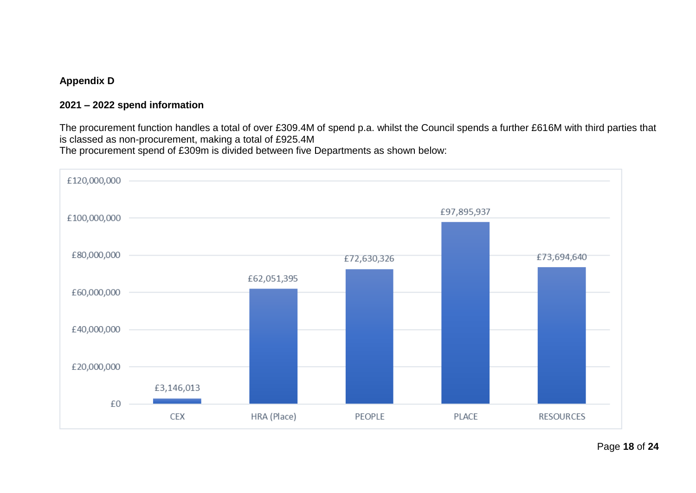## **2021 – 2022 spend information**

The procurement function handles a total of over £309.4M of spend p.a. whilst the Council spends a further £616M with third parties that is classed as non-procurement, making a total of £925.4M The procurement spend of £309m is divided between five Departments as shown below:

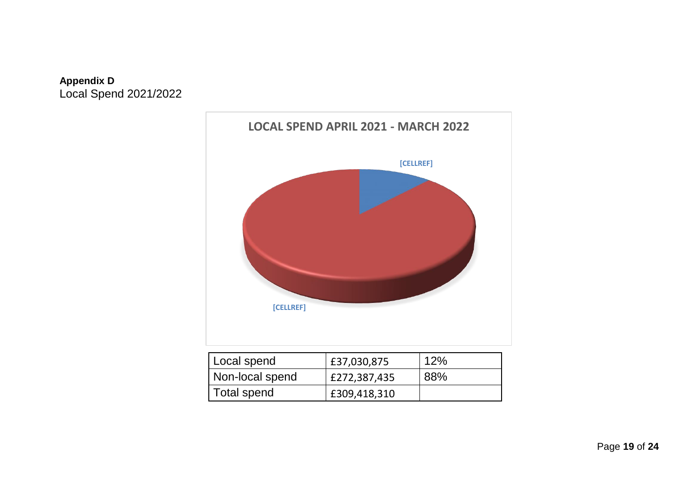# **Appendix D** Local Spend 2021/2022



| Local spend     | £37,030,875  | 12% |
|-----------------|--------------|-----|
| Non-local spend | £272,387,435 | 88% |
| Total spend     | £309,418,310 |     |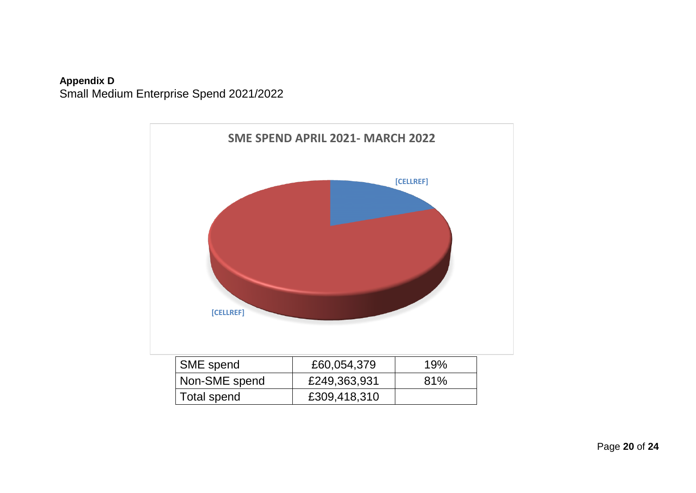

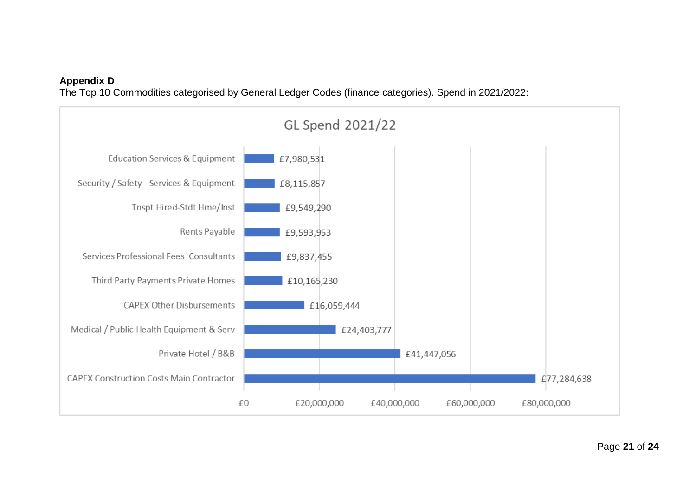The Top 10 Commodities categorised by General Ledger Codes (finance categories). Spend in 2021/2022:

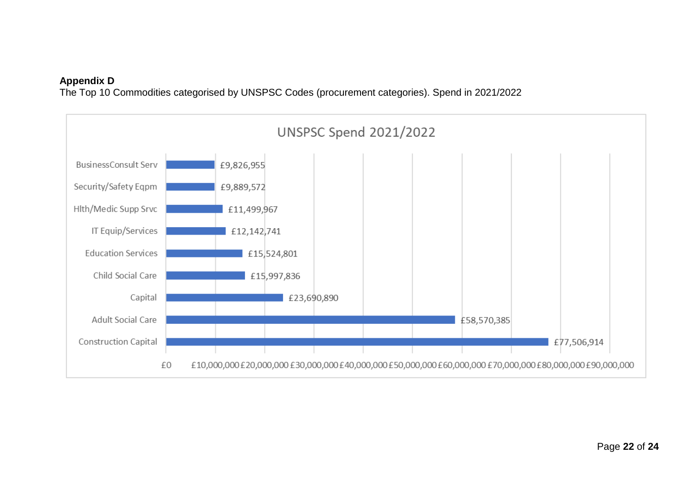The Top 10 Commodities categorised by UNSPSC Codes (procurement categories). Spend in 2021/2022

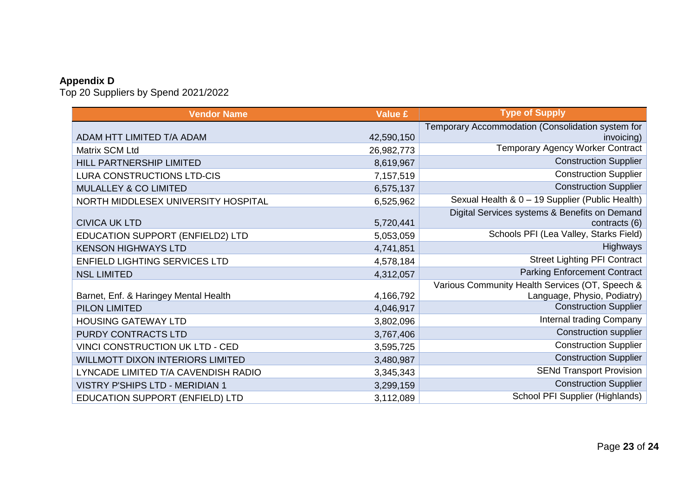Top 20 Suppliers by Spend 2021/2022

| <b>Vendor Name</b>                      | <b>Value £</b> | <b>Type of Supply</b>                             |
|-----------------------------------------|----------------|---------------------------------------------------|
|                                         |                | Temporary Accommodation (Consolidation system for |
| ADAM HTT LIMITED T/A ADAM               | 42,590,150     | invoicing)                                        |
| Matrix SCM Ltd                          | 26,982,773     | <b>Temporary Agency Worker Contract</b>           |
| HILL PARTNERSHIP LIMITED                | 8,619,967      | <b>Construction Supplier</b>                      |
| LURA CONSTRUCTIONS LTD-CIS              | 7,157,519      | <b>Construction Supplier</b>                      |
| <b>MULALLEY &amp; CO LIMITED</b>        | 6,575,137      | <b>Construction Supplier</b>                      |
| NORTH MIDDLESEX UNIVERSITY HOSPITAL     | 6,525,962      | Sexual Health & 0 - 19 Supplier (Public Health)   |
|                                         |                | Digital Services systems & Benefits on Demand     |
| <b>CIVICA UK LTD</b>                    | 5,720,441      | contracts (6)                                     |
| EDUCATION SUPPORT (ENFIELD2) LTD        | 5,053,059      | Schools PFI (Lea Valley, Starks Field)            |
| <b>KENSON HIGHWAYS LTD</b>              | 4,741,851      | Highways                                          |
| <b>ENFIELD LIGHTING SERVICES LTD</b>    | 4,578,184      | <b>Street Lighting PFI Contract</b>               |
| <b>NSL LIMITED</b>                      | 4,312,057      | <b>Parking Enforcement Contract</b>               |
|                                         |                | Various Community Health Services (OT, Speech &   |
| Barnet, Enf. & Haringey Mental Health   | 4,166,792      | Language, Physio, Podiatry)                       |
| PILON LIMITED                           | 4,046,917      | <b>Construction Supplier</b>                      |
| <b>HOUSING GATEWAY LTD</b>              | 3,802,096      | Internal trading Company                          |
| PURDY CONTRACTS LTD                     | 3,767,406      | <b>Construction supplier</b>                      |
| VINCI CONSTRUCTION UK LTD - CED         | 3,595,725      | <b>Construction Supplier</b>                      |
| <b>WILLMOTT DIXON INTERIORS LIMITED</b> | 3,480,987      | <b>Construction Supplier</b>                      |
| LYNCADE LIMITED T/A CAVENDISH RADIO     | 3,345,343      | <b>SENd Transport Provision</b>                   |
| <b>VISTRY P'SHIPS LTD - MERIDIAN 1</b>  | 3,299,159      | <b>Construction Supplier</b>                      |
| EDUCATION SUPPORT (ENFIELD) LTD         | 3,112,089      | School PFI Supplier (Highlands)                   |